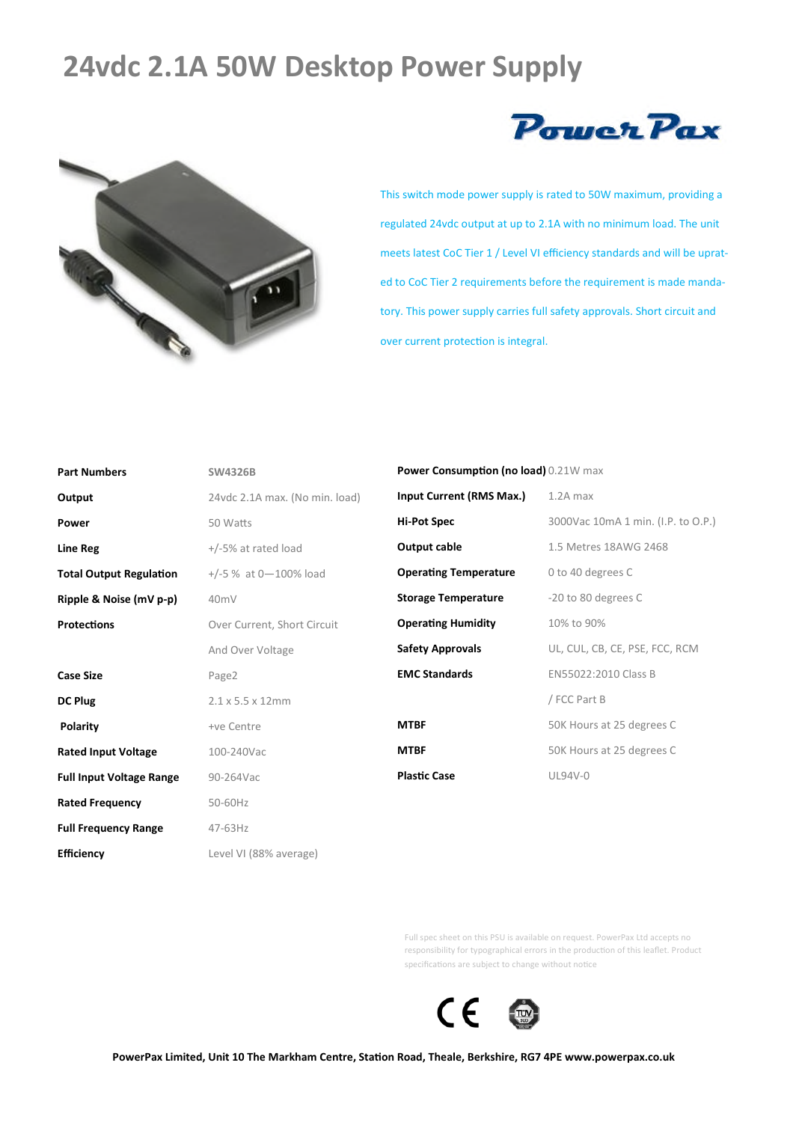## **24vdc 2.1A 50W Desktop Power Supply**





This switch mode power supply is rated to 50W maximum, providing a regulated 24vdc output at up to 2.1A with no minimum load. The unit meets latest CoC Tier 1 / Level VI efficiency standards and will be uprated to CoC Tier 2 requirements before the requirement is made mandatory. This power supply carries full safety approvals. Short circuit and over current protection is integral.

| <b>Part Numbers</b>             | <b>SW4326B</b>                 |
|---------------------------------|--------------------------------|
| Output                          | 24vdc 2.1A max. (No min. load) |
| Power                           | 50 Watts                       |
| <b>Line Reg</b>                 | $+/-5\%$ at rated load         |
| <b>Total Output Regulation</b>  | $+/-5$ % at 0-100% load        |
| Ripple & Noise (mV p-p)         | 40 <sub>m</sub> V              |
| <b>Protections</b>              | Over Current, Short Circuit    |
|                                 | And Over Voltage               |
| <b>Case Size</b>                | Page2                          |
| DC Plug                         | $2.1 \times 5.5 \times 12$ mm  |
| Polarity                        | +ve Centre                     |
| <b>Rated Input Voltage</b>      | 100-240Vac                     |
| <b>Full Input Voltage Range</b> | 90-264Vac                      |
| <b>Rated Frequency</b>          | 50-60Hz                        |
| <b>Full Frequency Range</b>     | 47-63Hz                        |
| <b>Efficiency</b>               | Level VI (88% average)         |

**Power Consumption (no load)** 0.21W max

| Input Current (RMS Max.)     | $1.2A$ max                         |
|------------------------------|------------------------------------|
| <b>Hi-Pot Spec</b>           | 3000Vac 10mA 1 min. (I.P. to O.P.) |
| Output cable                 | 1.5 Metres 18AWG 2468              |
| <b>Operating Temperature</b> | 0 to 40 degrees C                  |
| <b>Storage Temperature</b>   | -20 to 80 degrees C                |
| <b>Operating Humidity</b>    | 10% to 90%                         |
| <b>Safety Approvals</b>      | UL, CUL, CB, CE, PSE, FCC, RCM     |
| <b>EMC Standards</b>         | EN55022:2010 Class B               |
|                              | / FCC Part B                       |
| <b>MTBF</b>                  | 50K Hours at 25 degrees C          |
| <b>MTBF</b>                  | 50K Hours at 25 degrees C          |
| <b>Plastic Case</b>          | UL94V-0                            |

Full spec sheet on this PSU is available on request. PowerPax Ltd accepts no responsibility for typographical errors in the production of this leaflet. Product specifications are subject to change without notice